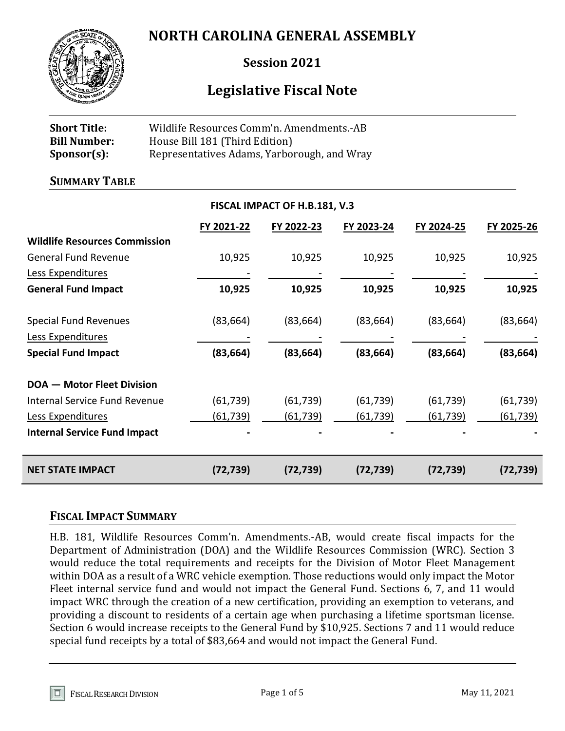# **NORTH CAROLINA GENERAL ASSEMBLY**



**Session 2021**

# **Legislative Fiscal Note**

| <b>Short Title:</b> | Wildlife Resources Comm'n. Amendments.-AB   |
|---------------------|---------------------------------------------|
| <b>Bill Number:</b> | House Bill 181 (Third Edition)              |
| Sponsor(s):         | Representatives Adams, Yarborough, and Wray |

#### **SUMMARY TABLE**

|                                      |                 | FISCAL IMPACT OF H.B.181, V.3 |            |            |            |
|--------------------------------------|-----------------|-------------------------------|------------|------------|------------|
|                                      | FY 2021-22      | FY 2022-23                    | FY 2023-24 | FY 2024-25 | FY 2025-26 |
| <b>Wildlife Resources Commission</b> |                 |                               |            |            |            |
| <b>General Fund Revenue</b>          | 10,925          | 10,925                        | 10,925     | 10,925     | 10,925     |
| Less Expenditures                    |                 |                               |            |            |            |
| <b>General Fund Impact</b>           | 10,925          | 10,925                        | 10,925     | 10,925     | 10,925     |
| <b>Special Fund Revenues</b>         | (83, 664)       | (83, 664)                     | (83, 664)  | (83, 664)  | (83, 664)  |
| Less Expenditures                    |                 |                               |            |            |            |
| <b>Special Fund Impact</b>           | (83, 664)       | (83, 664)                     | (83, 664)  | (83, 664)  | (83, 664)  |
| <b>DOA - Motor Fleet Division</b>    |                 |                               |            |            |            |
| <b>Internal Service Fund Revenue</b> | (61, 739)       | (61, 739)                     | (61, 739)  | (61, 739)  | (61, 739)  |
| Less Expenditures                    | <u>(61,739)</u> | (61, 739)                     | (61,739)   | (61, 739)  | (61, 739)  |
| <b>Internal Service Fund Impact</b>  |                 |                               |            |            |            |
| <b>NET STATE IMPACT</b>              | (72, 739)       | (72, 739)                     | (72, 739)  | (72, 739)  | (72, 739)  |

#### **FISCAL IMPACT SUMMARY**

H.B. 181, Wildlife Resources Comm'n. Amendments.-AB, would create fiscal impacts for the Department of Administration (DOA) and the Wildlife Resources Commission (WRC). Section 3 would reduce the total requirements and receipts for the Division of Motor Fleet Management within DOA as a result of a WRC vehicle exemption. Those reductions would only impact the Motor Fleet internal service fund and would not impact the General Fund. Sections 6, 7, and 11 would impact WRC through the creation of a new certification, providing an exemption to veterans, and providing a discount to residents of a certain age when purchasing a lifetime sportsman license. Section 6 would increase receipts to the General Fund by \$10,925. Sections 7 and 11 would reduce special fund receipts by a total of \$83,664 and would not impact the General Fund.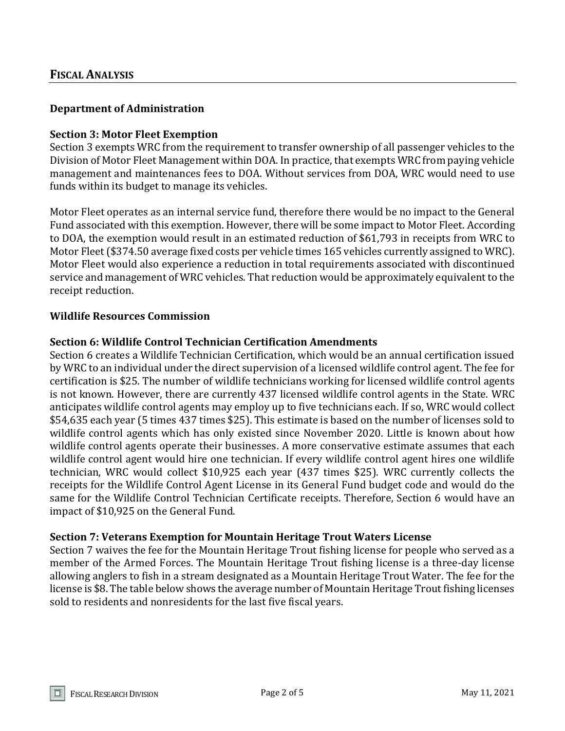## **Department of Administration**

#### **Section 3: Motor Fleet Exemption**

Section 3 exempts WRC from the requirement to transfer ownership of all passenger vehicles to the Division of Motor Fleet Management within DOA. In practice, that exempts WRC from paying vehicle management and maintenances fees to DOA. Without services from DOA, WRC would need to use funds within its budget to manage its vehicles.

Motor Fleet operates as an internal service fund, therefore there would be no impact to the General Fund associated with this exemption. However, there will be some impact to Motor Fleet. According to DOA, the exemption would result in an estimated reduction of \$61,793 in receipts from WRC to Motor Fleet (\$374.50 average fixed costs per vehicle times 165 vehicles currently assigned to WRC). Motor Fleet would also experience a reduction in total requirements associated with discontinued service and management of WRC vehicles. That reduction would be approximately equivalent to the receipt reduction.

#### **Wildlife Resources Commission**

#### **Section 6: Wildlife Control Technician Certification Amendments**

Section 6 creates a Wildlife Technician Certification, which would be an annual certification issued by WRC to an individual under the direct supervision of a licensed wildlife control agent. The fee for certification is \$25. The number of wildlife technicians working for licensed wildlife control agents is not known. However, there are currently 437 licensed wildlife control agents in the State. WRC anticipates wildlife control agents may employ up to five technicians each. If so, WRC would collect \$54,635 each year (5 times 437 times \$25). This estimate is based on the number of licenses sold to wildlife control agents which has only existed since November 2020. Little is known about how wildlife control agents operate their businesses. A more conservative estimate assumes that each wildlife control agent would hire one technician. If every wildlife control agent hires one wildlife technician, WRC would collect \$10,925 each year (437 times \$25). WRC currently collects the receipts for the Wildlife Control Agent License in its General Fund budget code and would do the same for the Wildlife Control Technician Certificate receipts. Therefore, Section 6 would have an impact of \$10,925 on the General Fund.

#### **Section 7: Veterans Exemption for Mountain Heritage Trout Waters License**

Section 7 waives the fee for the Mountain Heritage Trout fishing license for people who served as a member of the Armed Forces. The Mountain Heritage Trout fishing license is a three-day license allowing anglers to fish in a stream designated as a Mountain Heritage Trout Water. The fee for the license is \$8. The table below shows the average number of Mountain Heritage Trout fishing licenses sold to residents and nonresidents for the last five fiscal years.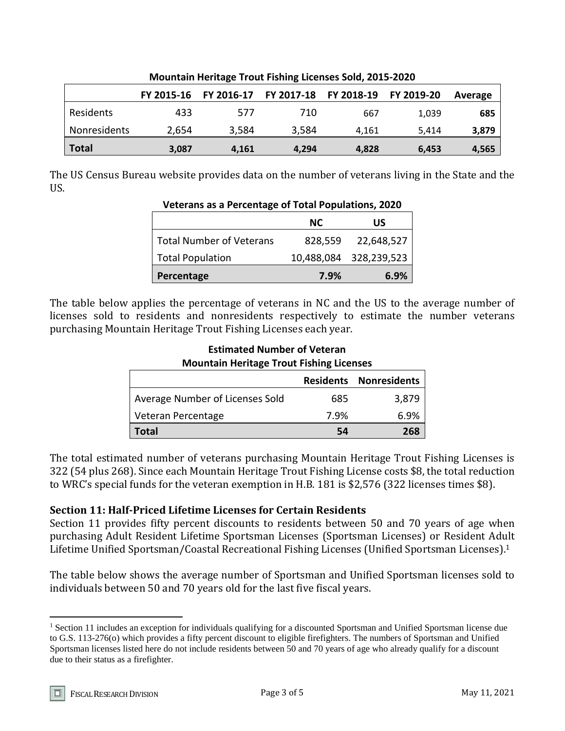|              | FY 2015-16 |       | FY 2016-17 FY 2017-18 FY 2018-19 FY 2019-20 |       |       | Average |
|--------------|------------|-------|---------------------------------------------|-------|-------|---------|
| Residents    | 433        | 577   | 710                                         | 667   | 1.039 | 685     |
| Nonresidents | 2,654      | 3,584 | 3,584                                       | 4.161 | 5.414 | 3,879   |
| <b>Total</b> | 3,087      | 4,161 | 4,294                                       | 4,828 | 6,453 | 4,565   |

**Mountain Heritage Trout Fishing Licenses Sold, 2015-2020**

The US Census Bureau website provides data on the number of veterans living in the State and the US.

**Veterans as a Percentage of Total Populations, 2020**

| Veteralis as a Percentage or Total Populations, 2020 |         |                        |  |
|------------------------------------------------------|---------|------------------------|--|
|                                                      | NC.     | US                     |  |
| <b>Total Number of Veterans</b>                      | 828,559 | 22,648,527             |  |
| <b>Total Population</b>                              |         | 10,488,084 328,239,523 |  |
| Percentage                                           | 7.9%    | 6.9%                   |  |

The table below applies the percentage of veterans in NC and the US to the average number of licenses sold to residents and nonresidents respectively to estimate the number veterans purchasing Mountain Heritage Trout Fishing Licenses each year.

## **Estimated Number of Veteran Mountain Heritage Trout Fishing Licenses**

|                                 |      | <b>Residents Nonresidents</b> |
|---------------------------------|------|-------------------------------|
| Average Number of Licenses Sold | 685  | 3,879                         |
| Veteran Percentage              | 7.9% | 6.9%                          |
| Total                           | 54   | 268                           |

The total estimated number of veterans purchasing Mountain Heritage Trout Fishing Licenses is 322 (54 plus 268). Since each Mountain Heritage Trout Fishing License costs \$8, the total reduction to WRC's special funds for the veteran exemption in H.B. 181 is \$2,576 (322 licenses times \$8).

# **Section 11: Half-Priced Lifetime Licenses for Certain Residents**

Section 11 provides fifty percent discounts to residents between 50 and 70 years of age when purchasing Adult Resident Lifetime Sportsman Licenses (Sportsman Licenses) or Resident Adult Lifetime Unified Sportsman/Coastal Recreational Fishing Licenses (Unified Sportsman Licenses). 1

The table below shows the average number of Sportsman and Unified Sportsman licenses sold to individuals between 50 and 70 years old for the last five fiscal years.

 $\overline{a}$ 

<sup>&</sup>lt;sup>1</sup> Section 11 includes an exception for individuals qualifying for a discounted Sportsman and Unified Sportsman license due to G.S. 113-276(o) which provides a fifty percent discount to eligible firefighters. The numbers of Sportsman and Unified Sportsman licenses listed here do not include residents between 50 and 70 years of age who already qualify for a discount due to their status as a firefighter.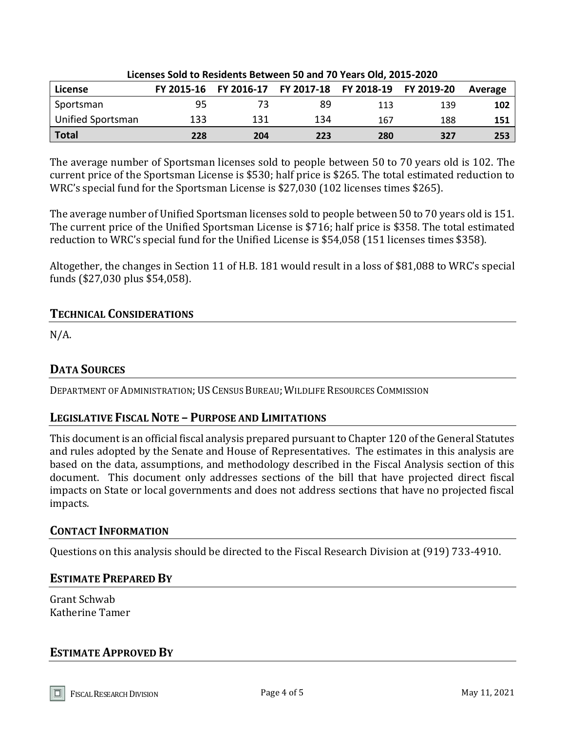| Licenses Sold to Residents Between 50 and 70 Years Old, 2015-2020 |     |     |                                                        |     |     |         |
|-------------------------------------------------------------------|-----|-----|--------------------------------------------------------|-----|-----|---------|
| License                                                           |     |     | FY 2015-16 FY 2016-17 FY 2017-18 FY 2018-19 FY 2019-20 |     |     | Average |
| Sportsman                                                         | 95  | 73  | 89                                                     | 113 | 139 | 102     |
| Unified Sportsman                                                 | 133 | 131 | 134                                                    | 167 | 188 | 151     |
| Total                                                             | 228 | 204 | 223                                                    | 280 | 327 | 253     |

The average number of Sportsman licenses sold to people between 50 to 70 years old is 102. The current price of the Sportsman License is \$530; half price is \$265. The total estimated reduction to WRC's special fund for the Sportsman License is \$27,030 (102 licenses times \$265).

The average number of Unified Sportsman licenses sold to people between 50 to 70 years old is 151. The current price of the Unified Sportsman License is \$716; half price is \$358. The total estimated reduction to WRC's special fund for the Unified License is \$54,058 (151 licenses times \$358).

Altogether, the changes in Section 11 of H.B. 181 would result in a loss of \$81,088 to WRC's special funds (\$27,030 plus \$54,058).

## **TECHNICAL CONSIDERATIONS**

 $N/A$ .

# **DATA SOURCES**

DEPARTMENT OF ADMINISTRATION; US CENSUS BUREAU; WILDLIFE RESOURCES COMMISSION

# **LEGISLATIVE FISCAL NOTE – PURPOSE AND LIMITATIONS**

This document is an official fiscal analysis prepared pursuant to Chapter 120 of the General Statutes and rules adopted by the Senate and House of Representatives. The estimates in this analysis are based on the data, assumptions, and methodology described in the Fiscal Analysis section of this document. This document only addresses sections of the bill that have projected direct fiscal impacts on State or local governments and does not address sections that have no projected fiscal impacts.

## **CONTACT INFORMATION**

Questions on this analysis should be directed to the Fiscal Research Division at (919) 733-4910.

## **ESTIMATE PREPARED BY**

Grant Schwab Katherine Tamer

## **ESTIMATE APPROVED BY**

FISCAL RESEARCH DIVISION **Page 4 of 5** May 11, 2021